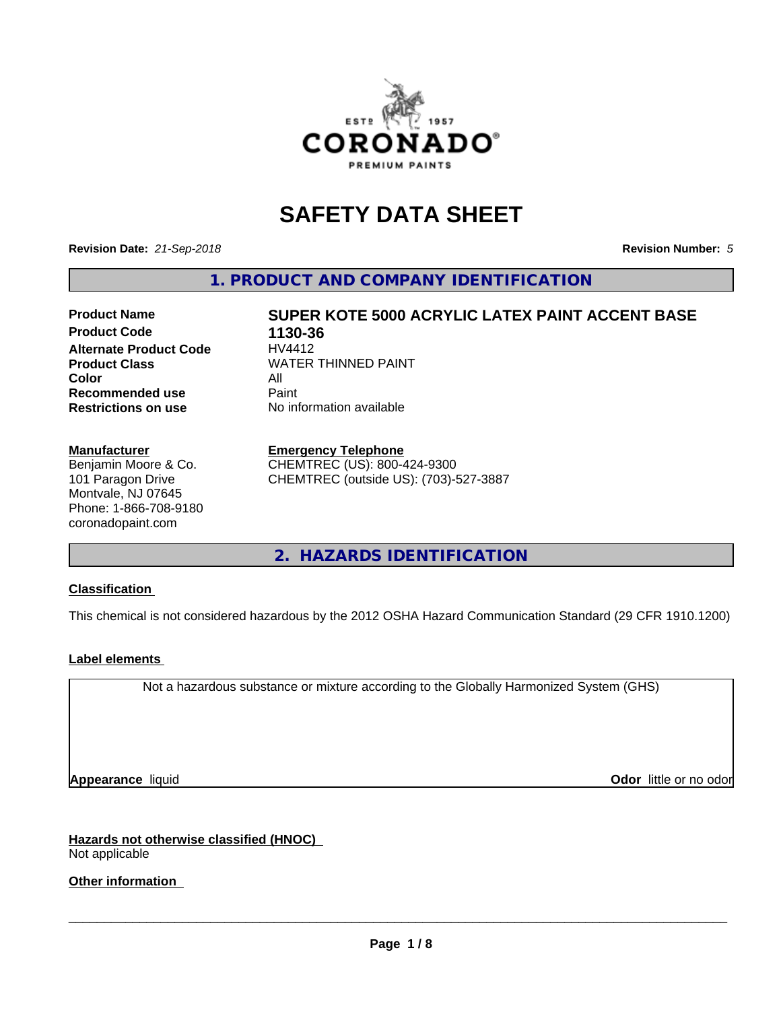

# **SAFETY DATA SHEET**

**Revision Date:** *21-Sep-2018* **Revision Number:** *5*

**1. PRODUCT AND COMPANY IDENTIFICATION**

# **Product Name SUPER KOTE 5000 ACRYLIC LATEX PAINT ACCENT BASE**

**Product Code 1130-36**<br>Alternate Product Code HV4412 **Alternate Product Code Color** All All<br>**Recommended use** Paint **Recommended use Restrictions on use** No information available

**Product Class WATER THINNED PAINT** 

#### **Manufacturer**

Benjamin Moore & Co. 101 Paragon Drive Montvale, NJ 07645 Phone: 1-866-708-9180 coronadopaint.com

### **Emergency Telephone**

CHEMTREC (US): 800-424-9300 CHEMTREC (outside US): (703)-527-3887

**2. HAZARDS IDENTIFICATION**

### **Classification**

This chemical is not considered hazardous by the 2012 OSHA Hazard Communication Standard (29 CFR 1910.1200)

# **Label elements**

Not a hazardous substance or mixture according to the Globally Harmonized System (GHS)

**Appearance** liquid **Contract Contract Contract Contract Contract Contract Contract Contract Contract Contract Contract Contract Contract Contract Contract Contract Contract Contract Contract Contract Contract Contract Con** 

**Hazards not otherwise classified (HNOC)** Not applicable

**Other information**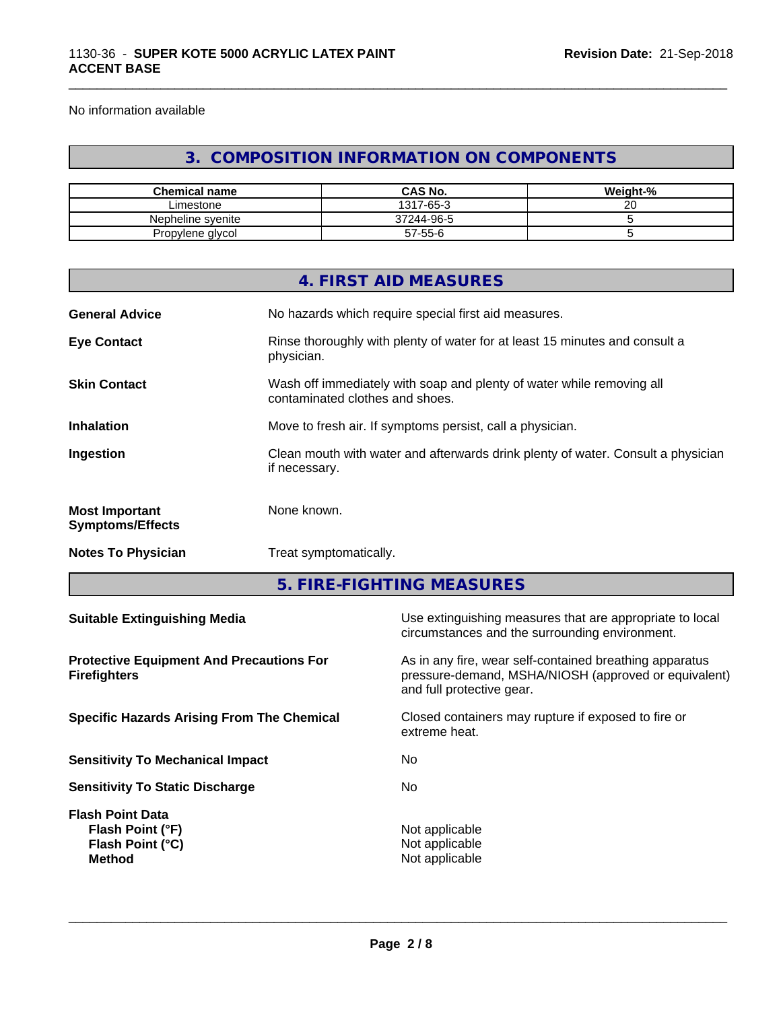No information available

# **3. COMPOSITION INFORMATION ON COMPONENTS**

\_\_\_\_\_\_\_\_\_\_\_\_\_\_\_\_\_\_\_\_\_\_\_\_\_\_\_\_\_\_\_\_\_\_\_\_\_\_\_\_\_\_\_\_\_\_\_\_\_\_\_\_\_\_\_\_\_\_\_\_\_\_\_\_\_\_\_\_\_\_\_\_\_\_\_\_\_\_\_\_\_\_\_\_\_\_\_\_\_\_\_\_\_

| <b>Chemical name</b> | <b>CAS No.</b> | Weight-%     |
|----------------------|----------------|--------------|
| Limestone            | 1317-65-3      | $\sim$<br>∠∪ |
| Nepheline svenite    | 37244-96-5     |              |
| Propylene glycol     | 57-55-6        |              |

|                                                                        |                        | 4. FIRST AID MEASURES                                                                                                                        |  |  |
|------------------------------------------------------------------------|------------------------|----------------------------------------------------------------------------------------------------------------------------------------------|--|--|
| <b>General Advice</b>                                                  |                        | No hazards which require special first aid measures.                                                                                         |  |  |
| <b>Eye Contact</b>                                                     | physician.             | Rinse thoroughly with plenty of water for at least 15 minutes and consult a                                                                  |  |  |
| <b>Skin Contact</b>                                                    |                        | Wash off immediately with soap and plenty of water while removing all<br>contaminated clothes and shoes.                                     |  |  |
| <b>Inhalation</b>                                                      |                        | Move to fresh air. If symptoms persist, call a physician.                                                                                    |  |  |
| Ingestion                                                              | if necessary.          | Clean mouth with water and afterwards drink plenty of water. Consult a physician                                                             |  |  |
| <b>Most Important</b><br><b>Symptoms/Effects</b>                       | None known.            |                                                                                                                                              |  |  |
| <b>Notes To Physician</b>                                              | Treat symptomatically. |                                                                                                                                              |  |  |
|                                                                        |                        | 5. FIRE-FIGHTING MEASURES                                                                                                                    |  |  |
| <b>Suitable Extinguishing Media</b>                                    |                        | Use extinguishing measures that are appropriate to local<br>circumstances and the surrounding environment.                                   |  |  |
| <b>Protective Equipment And Precautions For</b><br><b>Firefighters</b> |                        | As in any fire, wear self-contained breathing apparatus<br>pressure-demand, MSHA/NIOSH (approved or equivalent)<br>and full protective gear. |  |  |
| <b>Specific Hazards Arising From The Chemical</b>                      |                        | Closed containers may rupture if exposed to fire or<br>extreme heat.                                                                         |  |  |
| <b>Sensitivity To Mechanical Impact</b>                                |                        | No                                                                                                                                           |  |  |
|                                                                        |                        |                                                                                                                                              |  |  |

**Flash Point Data Flash Point (°F)**<br> **Flash Point (°C)**<br> **Flash Point (°C)**<br> **CO Flash Point (°C) Method** Not applicable<br>Method Not applicable

**Sensitivity To Static Discharge** Mo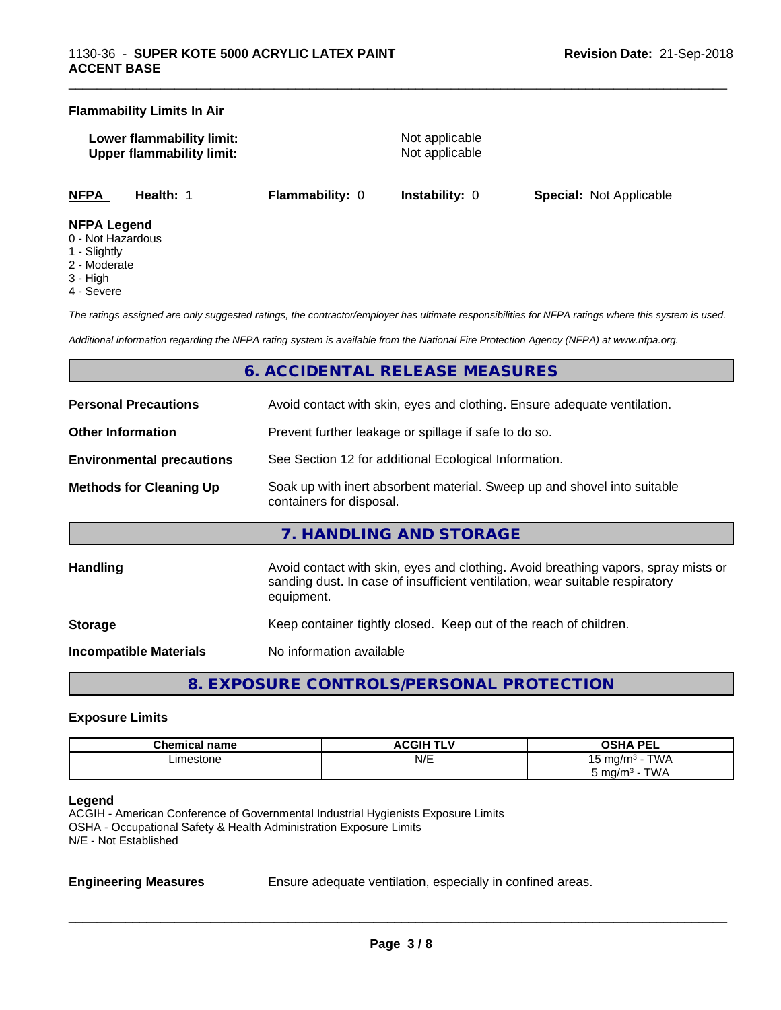#### **Flammability Limits In Air**

**Lower flammability limit:** Not applicable **Upper flammability limit:** Not applicable

\_\_\_\_\_\_\_\_\_\_\_\_\_\_\_\_\_\_\_\_\_\_\_\_\_\_\_\_\_\_\_\_\_\_\_\_\_\_\_\_\_\_\_\_\_\_\_\_\_\_\_\_\_\_\_\_\_\_\_\_\_\_\_\_\_\_\_\_\_\_\_\_\_\_\_\_\_\_\_\_\_\_\_\_\_\_\_\_\_\_\_\_\_

**NFPA Health:** 1 **Flammability:** 0 **Instability:** 0 **Special:** Not Applicable

#### **NFPA Legend**

- 0 Not Hazardous
- 1 Slightly
- 2 Moderate
- 3 High
- 4 Severe

*The ratings assigned are only suggested ratings, the contractor/employer has ultimate responsibilities for NFPA ratings where this system is used.*

*Additional information regarding the NFPA rating system is available from the National Fire Protection Agency (NFPA) at www.nfpa.org.*

# **6. ACCIDENTAL RELEASE MEASURES**

| <b>Personal Precautions</b>      | Avoid contact with skin, eyes and clothing. Ensure adequate ventilation.                                                                                                         |  |
|----------------------------------|----------------------------------------------------------------------------------------------------------------------------------------------------------------------------------|--|
| <b>Other Information</b>         | Prevent further leakage or spillage if safe to do so.                                                                                                                            |  |
| <b>Environmental precautions</b> | See Section 12 for additional Ecological Information.                                                                                                                            |  |
| <b>Methods for Cleaning Up</b>   | Soak up with inert absorbent material. Sweep up and shovel into suitable<br>containers for disposal.                                                                             |  |
|                                  | 7. HANDLING AND STORAGE                                                                                                                                                          |  |
| <b>Handling</b>                  | Avoid contact with skin, eyes and clothing. Avoid breathing vapors, spray mists or<br>sanding dust. In case of insufficient ventilation, wear suitable respiratory<br>equipment. |  |
| <b>Storage</b>                   | Keep container tightly closed. Keep out of the reach of children.                                                                                                                |  |
| <b>Incompatible Materials</b>    | No information available                                                                                                                                                         |  |

**8. EXPOSURE CONTROLS/PERSONAL PROTECTION**

#### **Exposure Limits**

| <b>Chemical name</b> | <b>ACGIH TLV</b> | <b>OSHA PEL</b><br>--                |
|----------------------|------------------|--------------------------------------|
| ∟imestone<br>.       | N/E              | <b>TWA</b><br>ma/m <sup>3</sup><br>ັ |
|                      |                  | TWA<br>ാ mg/m <sup>3</sup><br>.      |

#### **Legend**

ACGIH - American Conference of Governmental Industrial Hygienists Exposure Limits OSHA - Occupational Safety & Health Administration Exposure Limits N/E - Not Established

**Engineering Measures** Ensure adequate ventilation, especially in confined areas.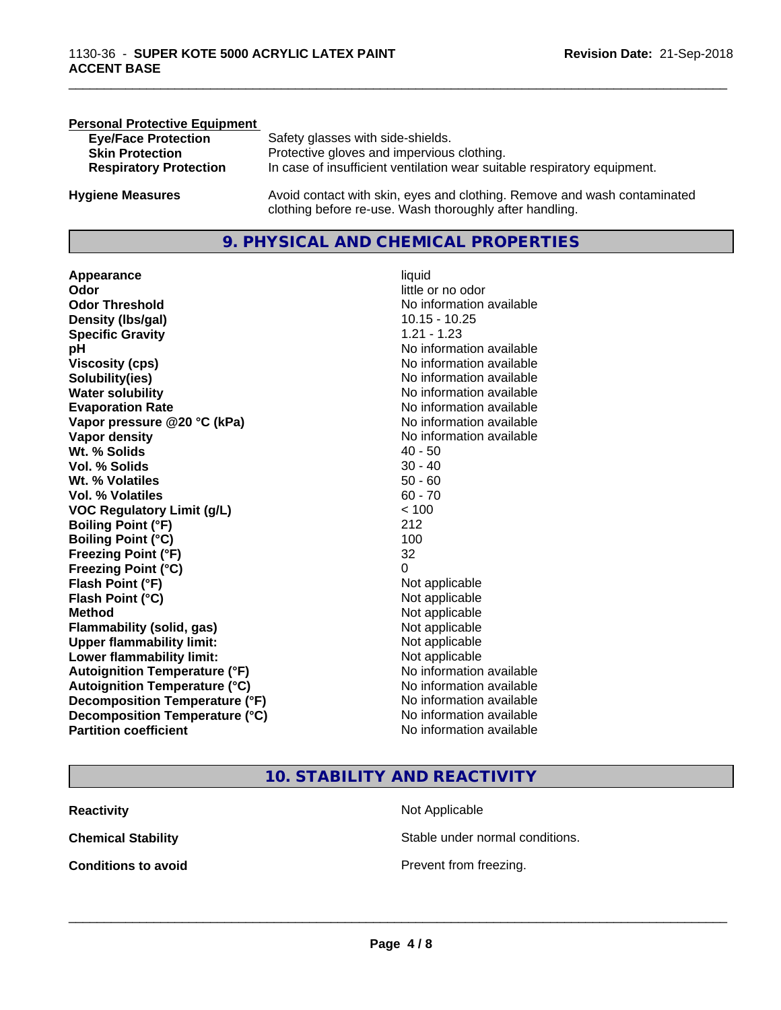| <b>Personal Protective Equipment</b> |                                                                                                                                     |
|--------------------------------------|-------------------------------------------------------------------------------------------------------------------------------------|
| <b>Eye/Face Protection</b>           | Safety glasses with side-shields.                                                                                                   |
| <b>Skin Protection</b>               | Protective gloves and impervious clothing.                                                                                          |
| <b>Respiratory Protection</b>        | In case of insufficient ventilation wear suitable respiratory equipment.                                                            |
| <b>Hygiene Measures</b>              | Avoid contact with skin, eyes and clothing. Remove and wash contaminated<br>clothing before re-use. Wash thoroughly after handling. |

# **9. PHYSICAL AND CHEMICAL PROPERTIES**

**Appearance** liquid **Odor** little or no odor **Odor Threshold**<br> **Density (Ibs/gal)**<br> **Density (Ibs/gal)**<br> **No information available**<br>
10.15 - 10.25 **Density (Ibs/gal) Specific Gravity** 1.21 - 1.23 **pH pH**  $\blacksquare$ **Viscosity (cps)** <br> **Viscosity (cps)** No information available<br>
No information available<br>
No information available **Solubility(ies)**<br> **No information available**<br> **Water solubility**<br> **Water solubility Evaporation Rate Evaporation Rate No information available Vapor pressure @20 °C (kPa)** No information available **Vapor density**<br> **Vapor density**<br> **With % Solids**<br>
With % Solids
2019 **Wt. % Solids** 40 - 50 **Vol. % Solids Wt. % Volatiles** 50 - 60 **Vol. % Volatiles** 60 - 70 **VOC Regulatory Limit (g/L)** < 100 **Boiling Point (°F)** 212 **Boiling Point (°C)** 100 **Freezing Point (°F)** 32 **Freezing Point (°C)** 0 **Flash Point (°F)**<br> **Flash Point (°C)**<br> **Flash Point (°C)**<br> **C Flash Point (°C) Method** Not applicable not applicable not applicable not applicable not applicable not applicable not applicable not applicable not applicable not applicable not applicable not applicable not applicable not applicable not **Flammability (solid, gas)**<br> **Upper flammability limit:**<br>
Upper flammability limit:<br>  $\begin{array}{ccc}\n\bullet & \bullet & \bullet \\
\bullet & \bullet & \bullet\n\end{array}$  Not applicable **Upper flammability limit: Lower flammability limit:** Not applicable **Autoignition Temperature (°F)** No information available **Autoignition Temperature (°C)** No information available **Decomposition Temperature (°F)** No information available<br> **Decomposition Temperature (°C)** No information available **Decomposition Temperature (°C)**<br>Partition coefficient

**No information available No information available** 

\_\_\_\_\_\_\_\_\_\_\_\_\_\_\_\_\_\_\_\_\_\_\_\_\_\_\_\_\_\_\_\_\_\_\_\_\_\_\_\_\_\_\_\_\_\_\_\_\_\_\_\_\_\_\_\_\_\_\_\_\_\_\_\_\_\_\_\_\_\_\_\_\_\_\_\_\_\_\_\_\_\_\_\_\_\_\_\_\_\_\_\_\_

# **10. STABILITY AND REACTIVITY**

| <b>Reactivity</b>          | Not Applicable         |
|----------------------------|------------------------|
| <b>Chemical Stability</b>  | Stable under normal c  |
| <b>Conditions to avoid</b> | Prevent from freezing. |

**Not Applicable** Stable under normal conditions.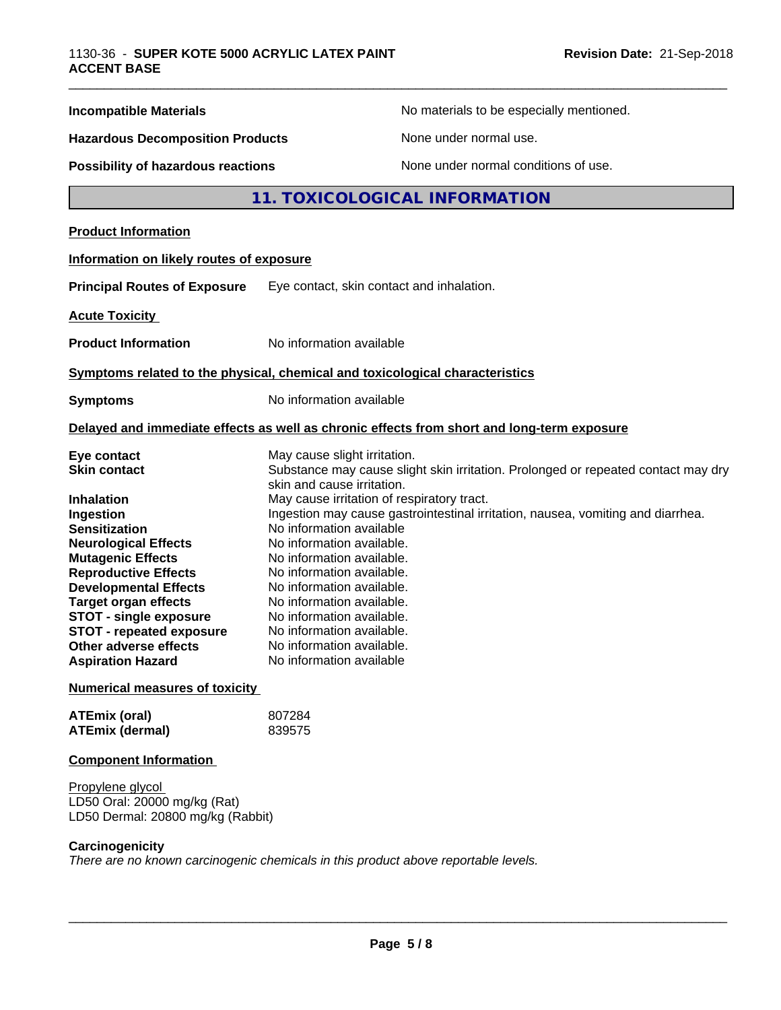| <b>Incompatible Materials</b>                                                                                                                                                                                                                                                                                                                                                  |                                                                                                                                                                                                                                                                                                                                                                                                                                                                                                                                                                                  | No materials to be especially mentioned.                                                   |  |
|--------------------------------------------------------------------------------------------------------------------------------------------------------------------------------------------------------------------------------------------------------------------------------------------------------------------------------------------------------------------------------|----------------------------------------------------------------------------------------------------------------------------------------------------------------------------------------------------------------------------------------------------------------------------------------------------------------------------------------------------------------------------------------------------------------------------------------------------------------------------------------------------------------------------------------------------------------------------------|--------------------------------------------------------------------------------------------|--|
| <b>Hazardous Decomposition Products</b>                                                                                                                                                                                                                                                                                                                                        |                                                                                                                                                                                                                                                                                                                                                                                                                                                                                                                                                                                  | None under normal use.                                                                     |  |
| Possibility of hazardous reactions                                                                                                                                                                                                                                                                                                                                             |                                                                                                                                                                                                                                                                                                                                                                                                                                                                                                                                                                                  | None under normal conditions of use.                                                       |  |
|                                                                                                                                                                                                                                                                                                                                                                                |                                                                                                                                                                                                                                                                                                                                                                                                                                                                                                                                                                                  | 11. TOXICOLOGICAL INFORMATION                                                              |  |
| <b>Product Information</b>                                                                                                                                                                                                                                                                                                                                                     |                                                                                                                                                                                                                                                                                                                                                                                                                                                                                                                                                                                  |                                                                                            |  |
| Information on likely routes of exposure                                                                                                                                                                                                                                                                                                                                       |                                                                                                                                                                                                                                                                                                                                                                                                                                                                                                                                                                                  |                                                                                            |  |
| <b>Principal Routes of Exposure</b>                                                                                                                                                                                                                                                                                                                                            |                                                                                                                                                                                                                                                                                                                                                                                                                                                                                                                                                                                  | Eye contact, skin contact and inhalation.                                                  |  |
| <b>Acute Toxicity</b>                                                                                                                                                                                                                                                                                                                                                          |                                                                                                                                                                                                                                                                                                                                                                                                                                                                                                                                                                                  |                                                                                            |  |
| <b>Product Information</b>                                                                                                                                                                                                                                                                                                                                                     | No information available                                                                                                                                                                                                                                                                                                                                                                                                                                                                                                                                                         |                                                                                            |  |
| Symptoms related to the physical, chemical and toxicological characteristics                                                                                                                                                                                                                                                                                                   |                                                                                                                                                                                                                                                                                                                                                                                                                                                                                                                                                                                  |                                                                                            |  |
| <b>Symptoms</b>                                                                                                                                                                                                                                                                                                                                                                | No information available                                                                                                                                                                                                                                                                                                                                                                                                                                                                                                                                                         |                                                                                            |  |
|                                                                                                                                                                                                                                                                                                                                                                                |                                                                                                                                                                                                                                                                                                                                                                                                                                                                                                                                                                                  | Delayed and immediate effects as well as chronic effects from short and long-term exposure |  |
| Eye contact<br><b>Skin contact</b><br><b>Inhalation</b><br>Ingestion<br><b>Sensitization</b><br><b>Neurological Effects</b><br><b>Mutagenic Effects</b><br><b>Reproductive Effects</b><br><b>Developmental Effects</b><br><b>Target organ effects</b><br><b>STOT - single exposure</b><br><b>STOT - repeated exposure</b><br>Other adverse effects<br><b>Aspiration Hazard</b> | May cause slight irritation.<br>Substance may cause slight skin irritation. Prolonged or repeated contact may dry<br>skin and cause irritation.<br>May cause irritation of respiratory tract.<br>Ingestion may cause gastrointestinal irritation, nausea, vomiting and diarrhea.<br>No information available<br>No information available.<br>No information available.<br>No information available.<br>No information available.<br>No information available.<br>No information available.<br>No information available.<br>No information available.<br>No information available |                                                                                            |  |
| <b>Numerical measures of toxicity</b>                                                                                                                                                                                                                                                                                                                                          |                                                                                                                                                                                                                                                                                                                                                                                                                                                                                                                                                                                  |                                                                                            |  |
| <b>ATEmix (oral)</b><br><b>ATEmix (dermal)</b>                                                                                                                                                                                                                                                                                                                                 | 807284<br>839575                                                                                                                                                                                                                                                                                                                                                                                                                                                                                                                                                                 |                                                                                            |  |
| <b>Component Information</b>                                                                                                                                                                                                                                                                                                                                                   |                                                                                                                                                                                                                                                                                                                                                                                                                                                                                                                                                                                  |                                                                                            |  |
| Propylene glycol<br>LD50 Oral: 20000 mg/kg (Rat)<br>LD50 Dermal: 20800 mg/kg (Rabbit)                                                                                                                                                                                                                                                                                          |                                                                                                                                                                                                                                                                                                                                                                                                                                                                                                                                                                                  |                                                                                            |  |
|                                                                                                                                                                                                                                                                                                                                                                                |                                                                                                                                                                                                                                                                                                                                                                                                                                                                                                                                                                                  |                                                                                            |  |

**Carcinogenicity**

*There are no known carcinogenic chemicals in this product above reportable levels.*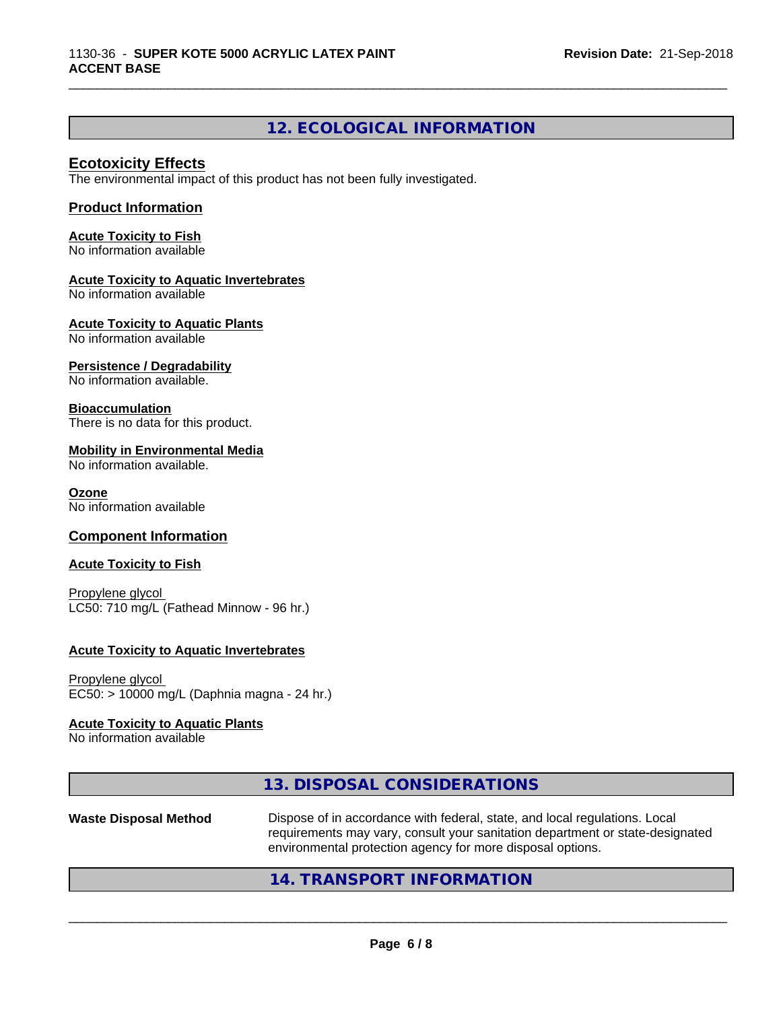# **12. ECOLOGICAL INFORMATION**

\_\_\_\_\_\_\_\_\_\_\_\_\_\_\_\_\_\_\_\_\_\_\_\_\_\_\_\_\_\_\_\_\_\_\_\_\_\_\_\_\_\_\_\_\_\_\_\_\_\_\_\_\_\_\_\_\_\_\_\_\_\_\_\_\_\_\_\_\_\_\_\_\_\_\_\_\_\_\_\_\_\_\_\_\_\_\_\_\_\_\_\_\_

# **Ecotoxicity Effects**

The environmental impact of this product has not been fully investigated.

### **Product Information**

**Acute Toxicity to Fish** No information available

#### **Acute Toxicity to Aquatic Invertebrates**

No information available

**Acute Toxicity to Aquatic Plants**

No information available

#### **Persistence / Degradability**

No information available.

#### **Bioaccumulation**

There is no data for this product.

#### **Mobility in Environmental Media**

No information available.

#### **Ozone**

No information available

#### **Component Information**

#### **Acute Toxicity to Fish**

Propylene glycol LC50: 710 mg/L (Fathead Minnow - 96 hr.)

#### **Acute Toxicity to Aquatic Invertebrates**

Propylene glycol EC50: > 10000 mg/L (Daphnia magna - 24 hr.)

#### **Acute Toxicity to Aquatic Plants**

No information available

# **13. DISPOSAL CONSIDERATIONS**

**Waste Disposal Method** Dispose of in accordance with federal, state, and local regulations. Local requirements may vary, consult your sanitation department or state-designated environmental protection agency for more disposal options.

 $\overline{\phantom{a}}$  ,  $\overline{\phantom{a}}$  ,  $\overline{\phantom{a}}$  ,  $\overline{\phantom{a}}$  ,  $\overline{\phantom{a}}$  ,  $\overline{\phantom{a}}$  ,  $\overline{\phantom{a}}$  ,  $\overline{\phantom{a}}$  ,  $\overline{\phantom{a}}$  ,  $\overline{\phantom{a}}$  ,  $\overline{\phantom{a}}$  ,  $\overline{\phantom{a}}$  ,  $\overline{\phantom{a}}$  ,  $\overline{\phantom{a}}$  ,  $\overline{\phantom{a}}$  ,  $\overline{\phantom{a}}$ 

# **14. TRANSPORT INFORMATION**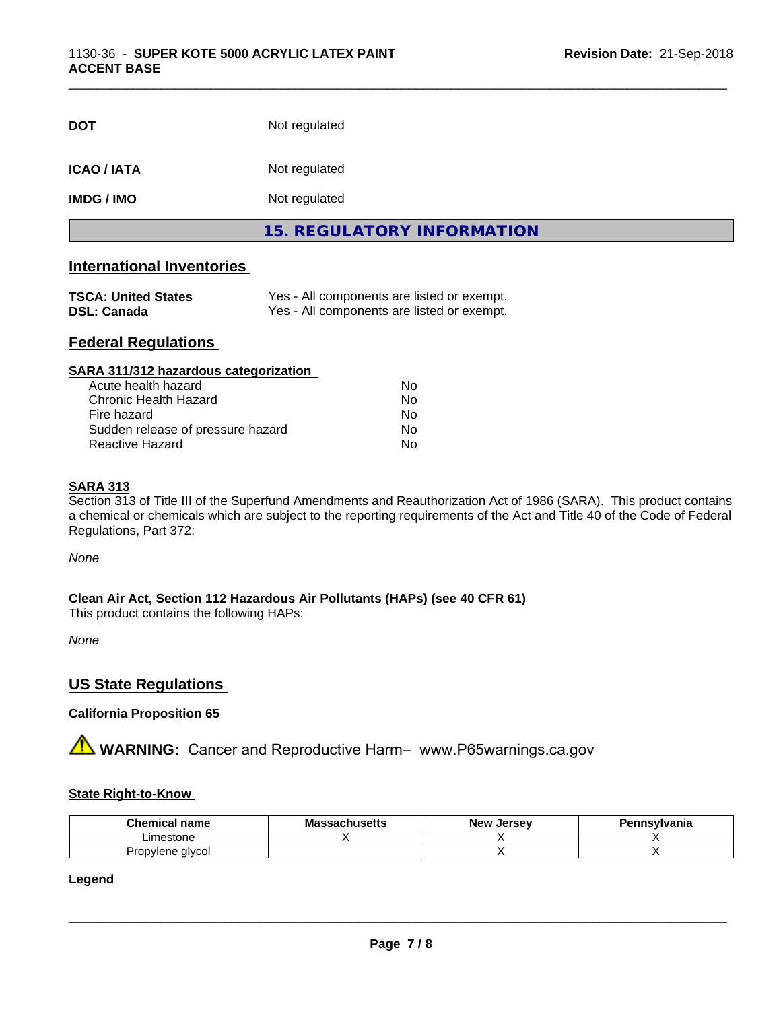| <b>DOT</b>         | Not regulated                     |
|--------------------|-----------------------------------|
| <b>ICAO / IATA</b> | Not regulated                     |
| <b>IMDG/IMO</b>    | Not regulated                     |
|                    | <b>15. REGULATORY INFORMATION</b> |

\_\_\_\_\_\_\_\_\_\_\_\_\_\_\_\_\_\_\_\_\_\_\_\_\_\_\_\_\_\_\_\_\_\_\_\_\_\_\_\_\_\_\_\_\_\_\_\_\_\_\_\_\_\_\_\_\_\_\_\_\_\_\_\_\_\_\_\_\_\_\_\_\_\_\_\_\_\_\_\_\_\_\_\_\_\_\_\_\_\_\_\_\_

# **International Inventories**

| <b>TSCA: United States</b> | Yes - All components are listed or exempt. |
|----------------------------|--------------------------------------------|
| <b>DSL: Canada</b>         | Yes - All components are listed or exempt. |

# **Federal Regulations**

| SARA 311/312 hazardous categorization |    |  |
|---------------------------------------|----|--|
| Acute health hazard                   | Nο |  |
| Chronic Health Hazard                 | No |  |
| Fire hazard                           | No |  |
| Sudden release of pressure hazard     | No |  |
| Reactive Hazard                       | No |  |

### **SARA 313**

Section 313 of Title III of the Superfund Amendments and Reauthorization Act of 1986 (SARA). This product contains a chemical or chemicals which are subject to the reporting requirements of the Act and Title 40 of the Code of Federal Regulations, Part 372:

*None*

**Clean Air Act,Section 112 Hazardous Air Pollutants (HAPs) (see 40 CFR 61)**

This product contains the following HAPs:

*None*

# **US State Regulations**

# **California Proposition 65**

**A** WARNING: Cancer and Reproductive Harm– www.P65warnings.ca.gov

### **State Right-to-Know**

| Chemical<br>name<br>۱۳ آپ | Ma | Jersev<br><b>Nev</b> | msvlvania |
|---------------------------|----|----------------------|-----------|
| Limestone                 |    |                      |           |
| Propylene alvcol          |    |                      |           |

**Legend**